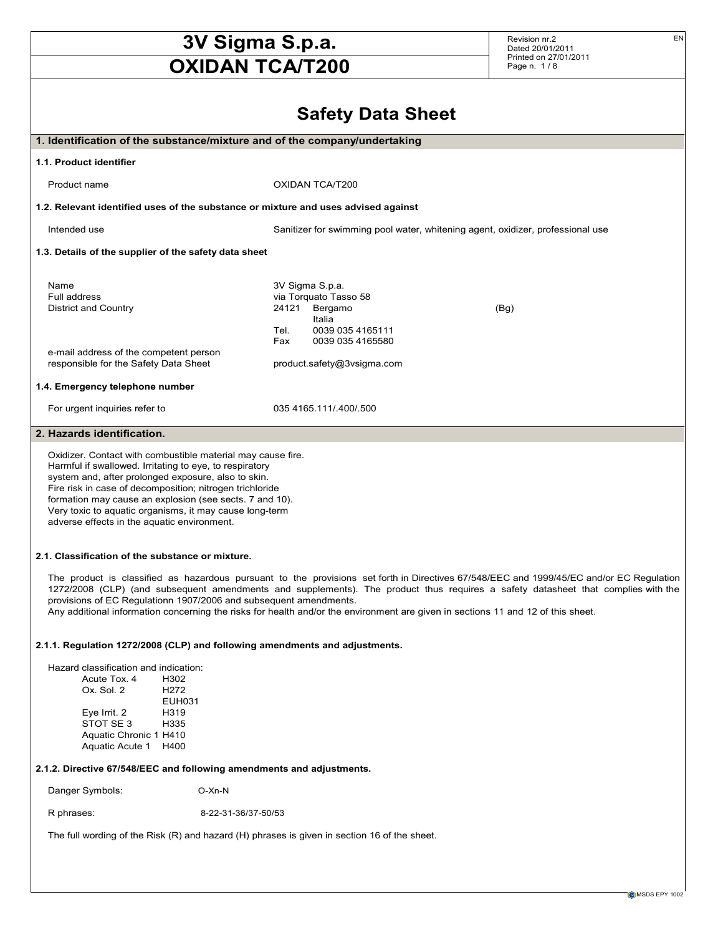Revision nr.2 Dated 20/01/2011 Printed on 27/01/2011 Page n. 1 / 8

EN

|                                                                                                                                                                                                                                                                                                                                                                                                                                                                                       |                                                                                       | <b>Safety Data Sheet</b>                                                       |  |
|---------------------------------------------------------------------------------------------------------------------------------------------------------------------------------------------------------------------------------------------------------------------------------------------------------------------------------------------------------------------------------------------------------------------------------------------------------------------------------------|---------------------------------------------------------------------------------------|--------------------------------------------------------------------------------|--|
| 1. Identification of the substance/mixture and of the company/undertaking                                                                                                                                                                                                                                                                                                                                                                                                             |                                                                                       |                                                                                |  |
|                                                                                                                                                                                                                                                                                                                                                                                                                                                                                       |                                                                                       |                                                                                |  |
| 1.1. Product identifier                                                                                                                                                                                                                                                                                                                                                                                                                                                               |                                                                                       |                                                                                |  |
| Product name                                                                                                                                                                                                                                                                                                                                                                                                                                                                          | OXIDAN TCA/T200                                                                       |                                                                                |  |
| 1.2. Relevant identified uses of the substance or mixture and uses advised against                                                                                                                                                                                                                                                                                                                                                                                                    |                                                                                       |                                                                                |  |
| Intended use                                                                                                                                                                                                                                                                                                                                                                                                                                                                          |                                                                                       | Sanitizer for swimming pool water, whitening agent, oxidizer, professional use |  |
| 1.3. Details of the supplier of the safety data sheet                                                                                                                                                                                                                                                                                                                                                                                                                                 |                                                                                       |                                                                                |  |
| Name<br>Full address<br><b>District and Country</b>                                                                                                                                                                                                                                                                                                                                                                                                                                   | 3V Sigma S.p.a.<br>via Torquato Tasso 58<br>24121<br>Bergamo<br>Italia<br>Tel.<br>Fax | (Bg)<br>0039 035 4165111<br>0039 035 4165580                                   |  |
| e-mail address of the competent person<br>responsible for the Safety Data Sheet                                                                                                                                                                                                                                                                                                                                                                                                       | product.safety@3vsigma.com                                                            |                                                                                |  |
| 1.4. Emergency telephone number                                                                                                                                                                                                                                                                                                                                                                                                                                                       |                                                                                       |                                                                                |  |
| For urgent inquiries refer to                                                                                                                                                                                                                                                                                                                                                                                                                                                         | 035 4165 111/ 400/ 500                                                                |                                                                                |  |
| 2. Hazards identification.                                                                                                                                                                                                                                                                                                                                                                                                                                                            |                                                                                       |                                                                                |  |
| Oxidizer. Contact with combustible material may cause fire.<br>Harmful if swallowed. Irritating to eye, to respiratory<br>system and, after prolonged exposure, also to skin.<br>Fire risk in case of decomposition; nitrogen trichloride<br>formation may cause an explosion (see sects. 7 and 10).<br>Very toxic to aquatic organisms, it may cause long-term<br>adverse effects in the aquatic environment.                                                                        |                                                                                       |                                                                                |  |
| 2.1. Classification of the substance or mixture.                                                                                                                                                                                                                                                                                                                                                                                                                                      |                                                                                       |                                                                                |  |
| The product is classified as hazardous pursuant to the provisions set forth in Directives 67/548/EEC and 1999/45/EC and/or EC Regulation<br>1272/2008 (CLP) (and subsequent amendments and supplements). The product thus requires a safety datasheet that complies with the<br>provisions of EC Regulationn 1907/2006 and subsequent amendments.<br>Any additional information concerning the risks for health and/or the environment are given in sections 11 and 12 of this sheet. |                                                                                       |                                                                                |  |
| 2.1.1. Regulation 1272/2008 (CLP) and following amendments and adjustments.                                                                                                                                                                                                                                                                                                                                                                                                           |                                                                                       |                                                                                |  |
| Hazard classification and indication:<br>Acute Tox. 4<br>H302<br>Ox. Sol. 2<br>H <sub>272</sub><br>EUH031<br>Eye Irrit. 2<br>H319<br>STOT SE 3<br>H335<br>Aquatic Chronic 1 H410<br>Aquatic Acute 1<br>H400                                                                                                                                                                                                                                                                           |                                                                                       |                                                                                |  |

## 2.1.2. Directive 67/548/EEC and following amendments and adjustments.

Danger Symbols: O-Xn-N

R phrases: 8-22-31-36/37-50/53

The full wording of the Risk (R) and hazard (H) phrases is given in section 16 of the sheet.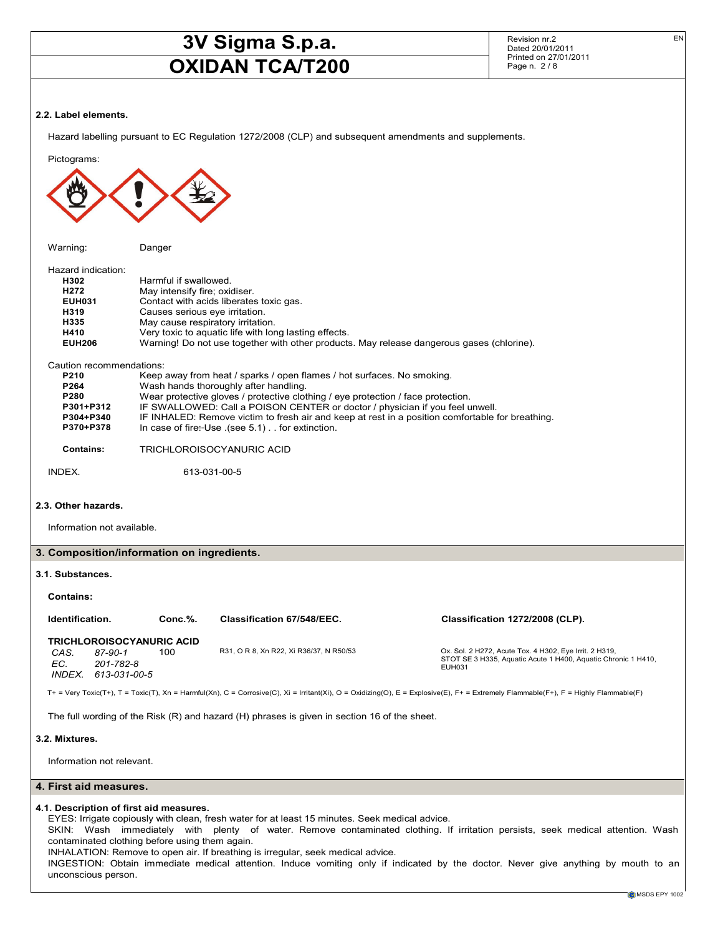INHALATION: Remove to open air. If breathing is irregular, seek medical advice.

unconscious person.

Revision nr.2 Dated 20/01/2011 Printed on 27/01/2011 Page n. 2 / 8

EN

### 2.2. Label elements.

Hazard labelling pursuant to EC Regulation 1272/2008 (CLP) and subsequent amendments and supplements.

Pictograms: Warning: Danger Hazard indication:<br> **H302** H<sub>302</sub> Harmful if swallowed.<br>H<sub>272</sub> May intensify fire: oxident May intensify fire; oxidiser. EUH031 Contact with acids liberates toxic gas.<br>
H319 Causes serious eye irritation. H319 Causes serious eye irritation. May cause respiratory irritation. H410 Very toxic to aquatic life with long lasting effects.<br>
EUH206 Warning! Do not use together with other products Warning! Do not use together with other products. May release dangerous gases (chlorine). Caution recommendations: P210 Keep away from heat / sparks / open flames / hot surfaces. No smoking.<br>
P264 Wash hands thoroughly after handling. P264 Wash hands thoroughly after handling.<br>
P280 Wear protective gloves / protective clot Wear protective gloves / protective clothing / eye protection / face protection. P301+P312 IF SWALLOWED: Call a POISON CENTER or doctor / physician if you feel unwell.<br>P304+P340 IF INHALED: Remove victim to fresh air and keep at rest in a position comfortable f P304+P340 IF INHALED: Remove victim to fresh air and keep at rest in a position comfortable for breathing.<br>P370+P378 In case of fire:-Use (see 5.1) . . for extinction. In case of fire:-Use .(see  $5.1)$  . . for extinction. Contains: TRICHLOROISOCYANURIC ACID INDEX. 613-031-00-5 2.3. Other hazards. Information not available. 3. Composition/information on ingredients. 3.1. Substances. Contains: Identification. Conc.%. Classification 67/548/EEC. Classification 1272/2008 (CLP). TRICHLOROISOCYANURIC ACID CAS. 87-90-1 100 R31, O R 8, Xn R22, Xi R36/37, N R50/53 Ox. Sol. 2 H272, Acute Tox. 4 H302, Eye Irrit. 2 H319, STOT SE 3 H335, Aquatic Acute 1 H400, Aquatic Chronic 1 H410, 201-782-8 EUH031 INDEX. 613-031-00-5 T+ = Very Toxic(T+), T = Toxic(T), Xn = Harmful(Xn), C = Corrosive(C), Xi = Irritant(Xi), O = Oxidizing(O), E = Explosive(E), F+ = Extremely Flammable(F+), F = Highly Flammable(F) The full wording of the Risk (R) and hazard (H) phrases is given in section 16 of the sheet. 3.2. Mixtures. Information not relevant. 4. First aid measures. 4.1. Description of first aid measures. EYES: Irrigate copiously with clean, fresh water for at least 15 minutes. Seek medical advice. SKIN: Wash immediately with plenty of water. Remove contaminated clothing. If irritation persists, seek medical attention. Wash contaminated clothing before using them again.

INGESTION: Obtain immediate medical attention. Induce vomiting only if indicated by the doctor. Never give anything by mouth to an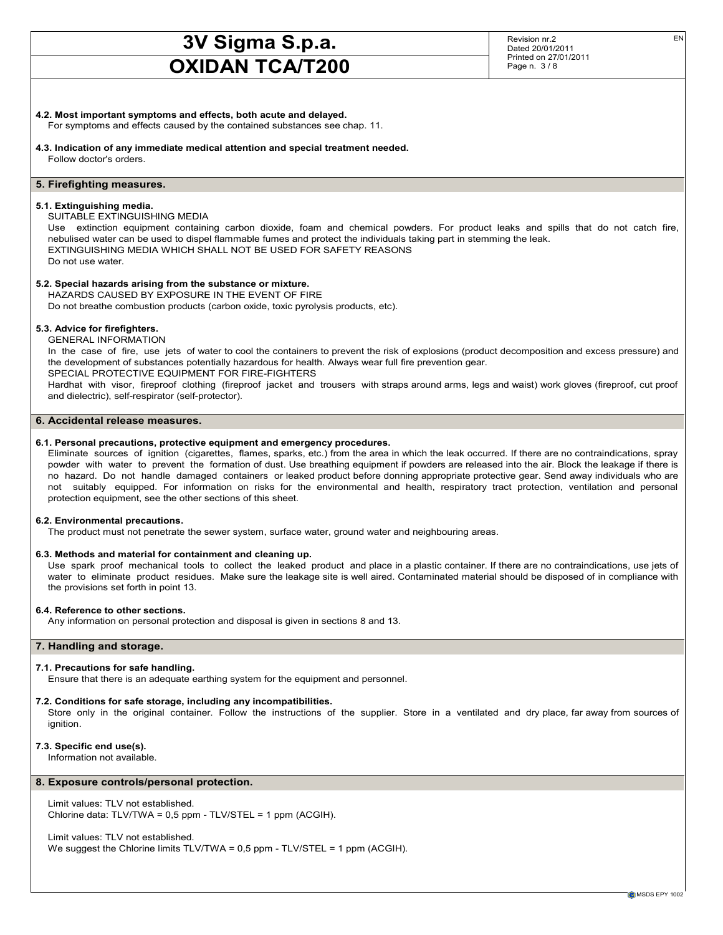Revision nr.2 Dated 20/01/2011 Printed on 27/01/2011 Page n. 3 / 8

For symptoms and effects caused by the contained substances see chap. 11.

4.3. Indication of any immediate medical attention and special treatment needed. Follow doctor's orders.

## 5. Firefighting measures.

### 5.1. Extinguishing media.

SUITABLE EXTINGUISHING MEDIA

Use extinction equipment containing carbon dioxide, foam and chemical powders. For product leaks and spills that do not catch fire, nebulised water can be used to dispel flammable fumes and protect the individuals taking part in stemming the leak. EXTINGUISHING MEDIA WHICH SHALL NOT BE USED FOR SAFETY REASONS Do not use water.

## 5.2. Special hazards arising from the substance or mixture.

HAZARDS CAUSED BY EXPOSURE IN THE EVENT OF FIRE Do not breathe combustion products (carbon oxide, toxic pyrolysis products, etc).

5.3. Advice for firefighters.

## GENERAL INFORMATION

In the case of fire, use jets of water to cool the containers to prevent the risk of explosions (product decomposition and excess pressure) and the development of substances potentially hazardous for health. Always wear full fire prevention gear. SPECIAL PROTECTIVE EQUIPMENT FOR FIRE-FIGHTERS

Hardhat with visor, fireproof clothing (fireproof jacket and trousers with straps around arms, legs and waist) work gloves (fireproof, cut proof and dielectric), self-respirator (self-protector).

## 6. Accidental release measures.

## 6.1. Personal precautions, protective equipment and emergency procedures.

Eliminate sources of ignition (cigarettes, flames, sparks, etc.) from the area in which the leak occurred. If there are no contraindications, spray powder with water to prevent the formation of dust. Use breathing equipment if powders are released into the air. Block the leakage if there is no hazard. Do not handle damaged containers or leaked product before donning appropriate protective gear. Send away individuals who are not suitably equipped. For information on risks for the environmental and health, respiratory tract protection, ventilation and personal protection equipment, see the other sections of this sheet.

## 6.2. Environmental precautions.

The product must not penetrate the sewer system, surface water, ground water and neighbouring areas.

## 6.3. Methods and material for containment and cleaning up.

Use spark proof mechanical tools to collect the leaked product and place in a plastic container. If there are no contraindications, use jets of water to eliminate product residues. Make sure the leakage site is well aired. Contaminated material should be disposed of in compliance with the provisions set forth in point 13.

## 6.4. Reference to other sections.

Any information on personal protection and disposal is given in sections 8 and 13.

## 7. Handling and storage.

## 7.1. Precautions for safe handling.

Ensure that there is an adequate earthing system for the equipment and personnel.

#### 7.2. Conditions for safe storage, including any incompatibilities.

Store only in the original container. Follow the instructions of the supplier. Store in a ventilated and dry place, far away from sources of ianition.

## 7.3. Specific end use(s).

Information not available.

## 8. Exposure controls/personal protection.

Limit values: TLV not established. Chlorine data: TLV/TWA = 0,5 ppm - TLV/STEL = 1 ppm (ACGIH).

Limit values: TLV not established. We suggest the Chlorine limits TLV/TWA = 0,5 ppm - TLV/STEL = 1 ppm (ACGIH).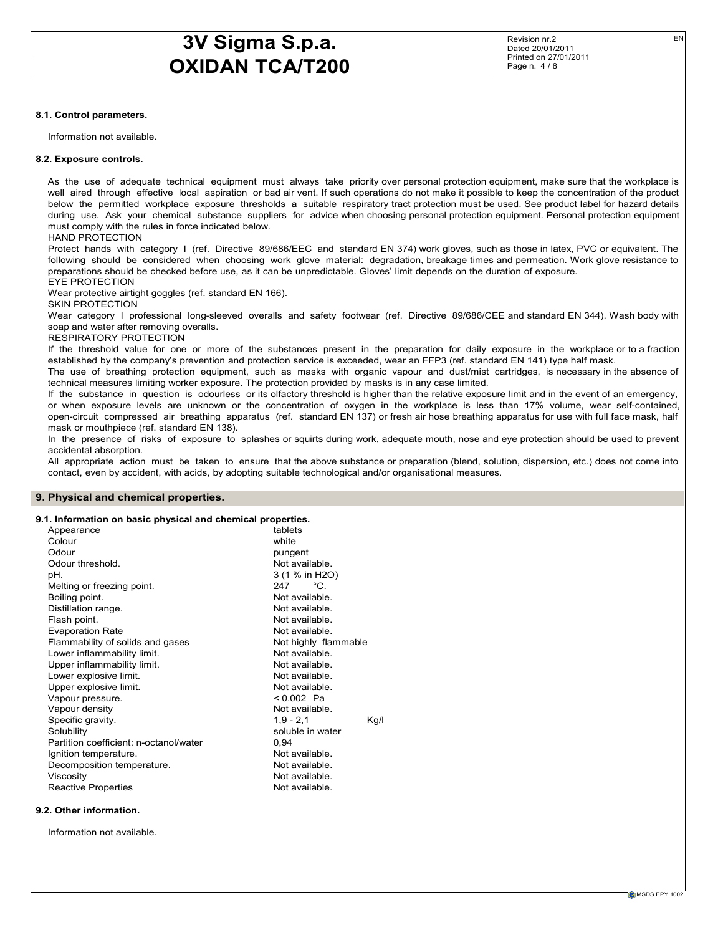Revision nr.2 Dated 20/01/2011 Printed on 27/01/2011 Page n. 4 / 8

## 8.1. Control parameters.

Information not available.

#### 8.2. Exposure controls.

As the use of adequate technical equipment must always take priority over personal protection equipment, make sure that the workplace is well aired through effective local aspiration or bad air vent. If such operations do not make it possible to keep the concentration of the product below the permitted workplace exposure thresholds a suitable respiratory tract protection must be used. See product label for hazard details during use. Ask your chemical substance suppliers for advice when choosing personal protection equipment. Personal protection equipment must comply with the rules in force indicated below.

#### HAND PROTECTION

Protect hands with category I (ref. Directive 89/686/EEC and standard EN 374) work gloves, such as those in latex, PVC or equivalent. The following should be considered when choosing work glove material: degradation, breakage times and permeation. Work glove resistance to preparations should be checked before use, as it can be unpredictable. Gloves' limit depends on the duration of exposure. EYE PROTECTION

Wear protective airtight goggles (ref. standard EN 166).

#### SKIN PROTECTION

Wear category I professional long-sleeved overalls and safety footwear (ref. Directive 89/686/CEE and standard EN 344). Wash body with soap and water after removing overalls.

#### RESPIRATORY PROTECTION

If the threshold value for one or more of the substances present in the preparation for daily exposure in the workplace or to a fraction established by the company's prevention and protection service is exceeded, wear an FFP3 (ref. standard EN 141) type half mask.

The use of breathing protection equipment, such as masks with organic vapour and dust/mist cartridges, is necessary in the absence of technical measures limiting worker exposure. The protection provided by masks is in any case limited.

If the substance in question is odourless or its olfactory threshold is higher than the relative exposure limit and in the event of an emergency, or when exposure levels are unknown or the concentration of oxygen in the workplace is less than 17% volume, wear self-contained, open-circuit compressed air breathing apparatus (ref. standard EN 137) or fresh air hose breathing apparatus for use with full face mask, half mask or mouthpiece (ref. standard EN 138).

In the presence of risks of exposure to splashes or squirts during work, adequate mouth, nose and eye protection should be used to prevent accidental absorption.

All appropriate action must be taken to ensure that the above substance or preparation (blend, solution, dispersion, etc.) does not come into contact, even by accident, with acids, by adopting suitable technological and/or organisational measures.

#### 9. Physical and chemical properties.

## 9.1. Information on basic physical and chemical properties.

| Appearance                             | tablets              |      |
|----------------------------------------|----------------------|------|
| Colour                                 | white                |      |
| Odour                                  | pungent              |      |
| Odour threshold.                       | Not available.       |      |
| pH.                                    | 3 (1 % in H2O)       |      |
| Melting or freezing point.             | °⊂<br>247            |      |
| Boiling point.                         | Not available.       |      |
| Distillation range.                    | Not available.       |      |
| Flash point.                           | Not available.       |      |
| <b>Evaporation Rate</b>                | Not available.       |      |
| Flammability of solids and gases       | Not highly flammable |      |
| Lower inflammability limit.            | Not available        |      |
| Upper inflammability limit.            | Not available.       |      |
| Lower explosive limit.                 | Not available.       |      |
| Upper explosive limit.                 | Not available.       |      |
| Vapour pressure.                       | < 0,002 Pa           |      |
| Vapour density                         | Not available.       |      |
| Specific gravity.                      | $1,9 - 2,1$          | Kg/l |
| Solubility                             | soluble in water     |      |
| Partition coefficient: n-octanol/water | 0.94                 |      |
| Ignition temperature.                  | Not available.       |      |
| Decomposition temperature.             | Not available.       |      |
| Viscosity                              | Not available.       |      |
| <b>Reactive Properties</b>             | Not available.       |      |
|                                        |                      |      |

#### 9.2. Other information.

Information not available.

EN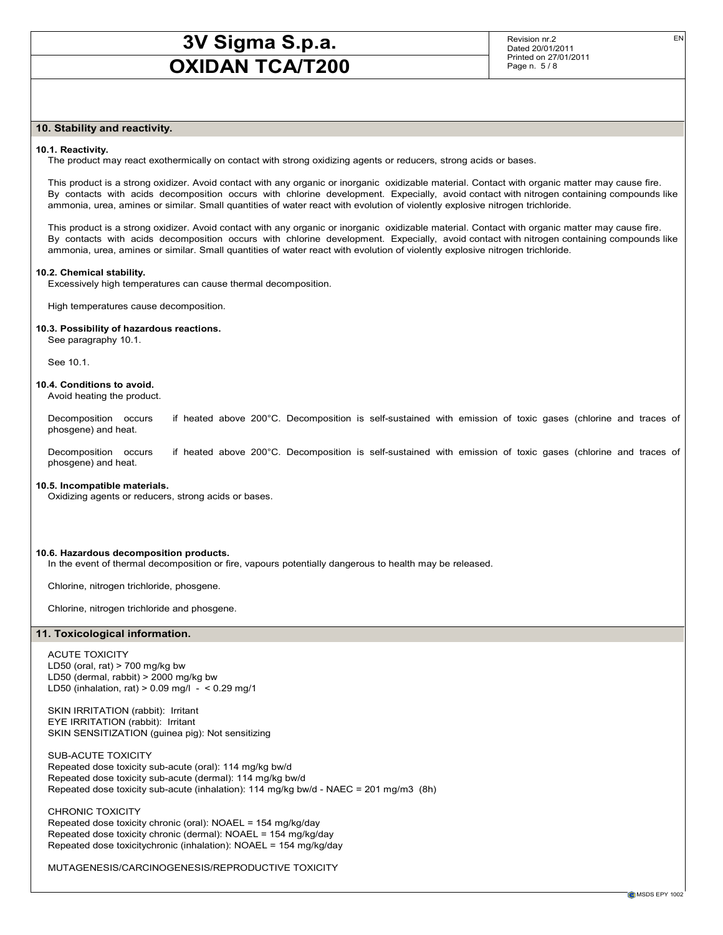Revision nr.2 Dated 20/01/2011 Printed on 27/01/2011 Page n. 5 / 8

EN

## 10. Stability and reactivity.

#### 10.1. Reactivity.

The product may react exothermically on contact with strong oxidizing agents or reducers, strong acids or bases.

This product is a strong oxidizer. Avoid contact with any organic or inorganic oxidizable material. Contact with organic matter may cause fire. By contacts with acids decomposition occurs with chlorine development. Expecially, avoid contact with nitrogen containing compounds like ammonia, urea, amines or similar. Small quantities of water react with evolution of violently explosive nitrogen trichloride.

This product is a strong oxidizer. Avoid contact with any organic or inorganic oxidizable material. Contact with organic matter may cause fire. By contacts with acids decomposition occurs with chlorine development. Expecially, avoid contact with nitrogen containing compounds like ammonia, urea, amines or similar. Small quantities of water react with evolution of violently explosive nitrogen trichloride.

#### 10.2. Chemical stability.

Excessively high temperatures can cause thermal decomposition.

High temperatures cause decomposition.

### 10.3. Possibility of hazardous reactions.

See paragraphy 10.1.

See 10.1.

## 10.4. Conditions to avoid.

Avoid heating the product.

Decomposition occurs if heated above 200°C. Decomposition is self-sustained with emission of toxic gases (chlorine and traces of phosgene) and heat.

Decomposition occurs if heated above 200°C. Decomposition is self-sustained with emission of toxic gases (chlorine and traces of phosgene) and heat.

#### 10.5. Incompatible materials.

Oxidizing agents or reducers, strong acids or bases.

#### 10.6. Hazardous decomposition products.

In the event of thermal decomposition or fire, vapours potentially dangerous to health may be released.

Chlorine, nitrogen trichloride, phosgene.

Chlorine, nitrogen trichloride and phosgene.

#### 11. Toxicological information.

ACUTE TOXICITY LD50 (oral, rat)  $> 700$  mg/kg bw LD50 (dermal, rabbit) > 2000 mg/kg bw LD50 (inhalation, rat)  $> 0.09$  mg/l -  $< 0.29$  mg/1

SKIN IRRITATION (rabbit): Irritant EYE IRRITATION (rabbit): Irritant SKIN SENSITIZATION (guinea pig): Not sensitizing

SUB-ACUTE TOXICITY Repeated dose toxicity sub-acute (oral): 114 mg/kg bw/d Repeated dose toxicity sub-acute (dermal): 114 mg/kg bw/d Repeated dose toxicity sub-acute (inhalation): 114 mg/kg bw/d - NAEC = 201 mg/m3 (8h)

CHRONIC TOXICITY Repeated dose toxicity chronic (oral): NOAEL = 154 mg/kg/day Repeated dose toxicity chronic (dermal): NOAEL = 154 mg/kg/day Repeated dose toxicitychronic (inhalation): NOAEL = 154 mg/kg/day

MUTAGENESIS/CARCINOGENESIS/REPRODUCTIVE TOXICITY

**C** MSDS EPY 1002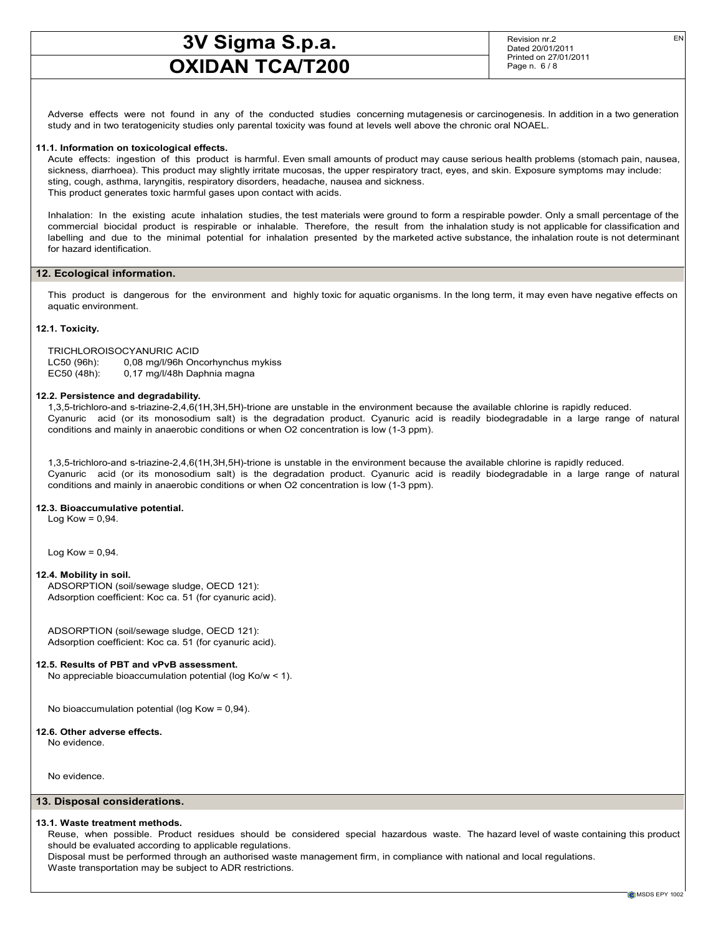Revision nr.2 Dated 20/01/2011 Printed on 27/01/2011 Page n. 6 / 8

EN

Adverse effects were not found in any of the conducted studies concerning mutagenesis or carcinogenesis. In addition in a two generation study and in two teratogenicity studies only parental toxicity was found at levels well above the chronic oral NOAEL.

## 11.1. Information on toxicological effects.

Acute effects: ingestion of this product is harmful. Even small amounts of product may cause serious health problems (stomach pain, nausea, sickness, diarrhoea). This product may slightly irritate mucosas, the upper respiratory tract, eyes, and skin. Exposure symptoms may include: sting, cough, asthma, laryngitis, respiratory disorders, headache, nausea and sickness. This product generates toxic harmful gases upon contact with acids.

Inhalation: In the existing acute inhalation studies, the test materials were ground to form a respirable powder. Only a small percentage of the commercial biocidal product is respirable or inhalable. Therefore, the result from the inhalation study is not applicable for classification and labelling and due to the minimal potential for inhalation presented by the marketed active substance, the inhalation route is not determinant for hazard identification.

#### 12. Ecological information.

This product is dangerous for the environment and highly toxic for aquatic organisms. In the long term, it may even have negative effects on aquatic environment.

### 12.1. Toxicity.

TRICHLOROISOCYANURIC ACID LC50 (96h): 0,08 mg/l/96h Oncorhynchus mykiss EC50 (48h): 0,17 mg/l/48h Daphnia magna

#### 12.2. Persistence and degradability.

1,3,5-trichloro-and s-triazine-2,4,6(1H,3H,5H)-trione are unstable in the environment because the available chlorine is rapidly reduced. Cyanuric acid (or its monosodium salt) is the degradation product. Cyanuric acid is readily biodegradable in a large range of natural conditions and mainly in anaerobic conditions or when O2 concentration is low (1-3 ppm).

1,3,5-trichloro-and s-triazine-2,4,6(1H,3H,5H)-trione is unstable in the environment because the available chlorine is rapidly reduced. Cyanuric acid (or its monosodium salt) is the degradation product. Cyanuric acid is readily biodegradable in a large range of natural conditions and mainly in anaerobic conditions or when O2 concentration is low (1-3 ppm).

#### 12.3. Bioaccumulative potential.

Log Kow =  $0,94$ .

Log Kow =  $0,94$ .

#### 12.4. Mobility in soil.

ADSORPTION (soil/sewage sludge, OECD 121): Adsorption coefficient: Koc ca. 51 (for cyanuric acid).

ADSORPTION (soil/sewage sludge, OECD 121): Adsorption coefficient: Koc ca. 51 (for cyanuric acid).

### 12.5. Results of PBT and vPvB assessment.

No appreciable bioaccumulation potential (log Ko/w < 1).

No bioaccumulation potential (log Kow = 0,94).

#### 12.6. Other adverse effects.

No evidence.

No evidence.

#### 13. Disposal considerations.

#### 13.1. Waste treatment methods.

Reuse, when possible. Product residues should be considered special hazardous waste. The hazard level of waste containing this product should be evaluated according to applicable regulations.

Disposal must be performed through an authorised waste management firm, in compliance with national and local regulations. Waste transportation may be subject to ADR restrictions.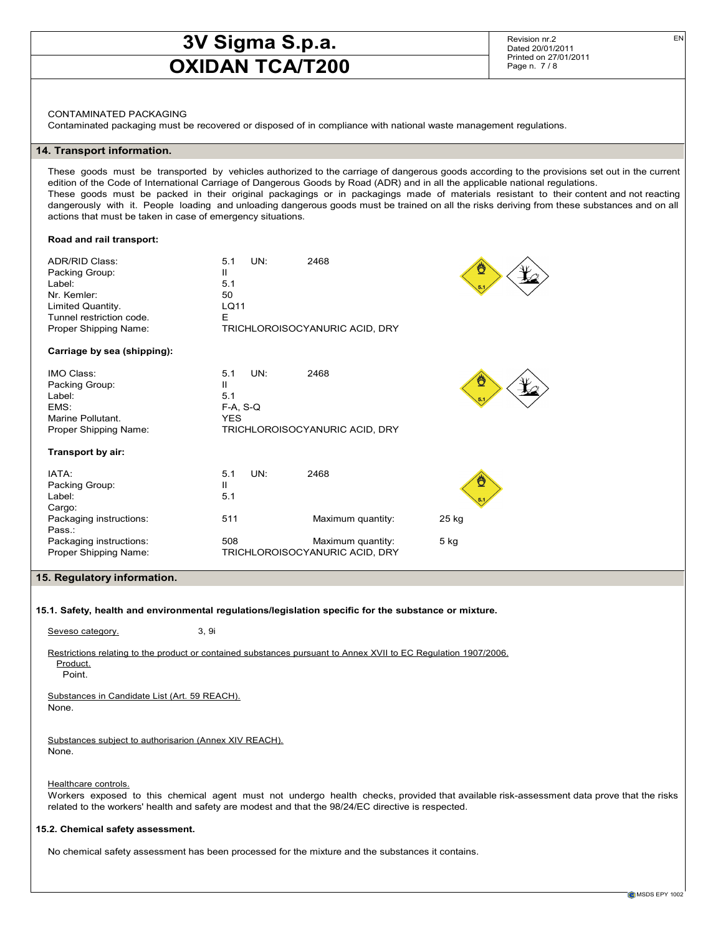Revision nr.2 Dated 20/01/2011 Printed on 27/01/2011 Page n. 7/8

CONTAMINATED PACKAGING

Contaminated packaging must be recovered or disposed of in compliance with national waste management regulations.

## 14. Transport information.

These goods must be transported by vehicles authorized to the carriage of dangerous goods according to the provisions set out in the current edition of the Code of International Carriage of Dangerous Goods by Road (ADR) and in all the applicable national regulations. These goods must be packed in their original packagings or in packagings made of materials resistant to their content and not reacting dangerously with it. People loading and unloading dangerous goods must be trained on all the risks deriving from these substances and on all actions that must be taken in case of emergency situations.

#### Road and rail transport:

| <b>ADR/RID Class:</b><br>Packing Group:<br>Label:<br>Nr. Kemler:<br>Limited Quantity.<br>Tunnel restriction code.<br>Proper Shipping Name: | UN:<br>5.1<br>Ш<br>5.1<br>50<br>LQ11<br>E          | 2468<br>TRICHLOROISOCYANURIC ACID, DRY              |        |
|--------------------------------------------------------------------------------------------------------------------------------------------|----------------------------------------------------|-----------------------------------------------------|--------|
| Carriage by sea (shipping):                                                                                                                |                                                    |                                                     |        |
| IMO Class:<br>Packing Group:<br>Label:<br>EMS:<br>Marine Pollutant.<br>Proper Shipping Name:                                               | UN:<br>5.1<br>Ш<br>5.1<br>$F-A, S-Q$<br><b>YES</b> | 2468<br>TRICHLOROISOCYANURIC ACID, DRY              |        |
| Transport by air:                                                                                                                          |                                                    |                                                     |        |
| IATA:<br>Packing Group:<br>Label:<br>Cargo:                                                                                                | UN:<br>5.1<br>Ш<br>5.1                             | 2468                                                |        |
| Packaging instructions:<br>Pass.:                                                                                                          | 511                                                | Maximum quantity:                                   | 25 kg  |
| Packaging instructions:<br>Proper Shipping Name:<br>-- - - - - -                                                                           | 508                                                | Maximum quantity:<br>TRICHLOROISOCYANURIC ACID, DRY | $5$ kg |

15. Regulatory information.

#### 15.1. Safety, health and environmental regulations/legislation specific for the substance or mixture.

Seveso category. 3, 9i

Restrictions relating to the product or contained substances pursuant to Annex XVII to EC Regulation 1907/2006.

Product. Point.

Substances in Candidate List (Art. 59 REACH). None.

Substances subject to authorisarion (Annex XIV REACH). None.

Healthcare controls.

Workers exposed to this chemical agent must not undergo health checks, provided that available risk-assessment data prove that the risks related to the workers' health and safety are modest and that the 98/24/EC directive is respected.

#### 15.2. Chemical safety assessment.

No chemical safety assessment has been processed for the mixture and the substances it contains.

EN